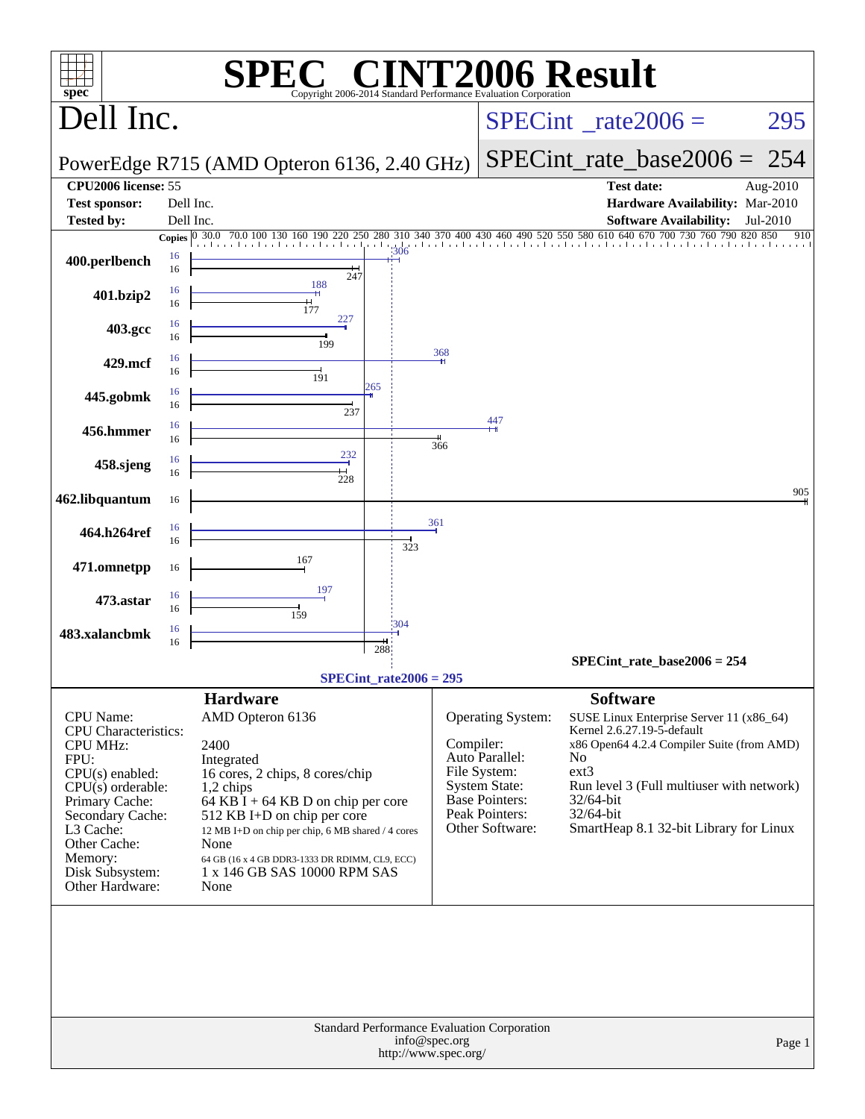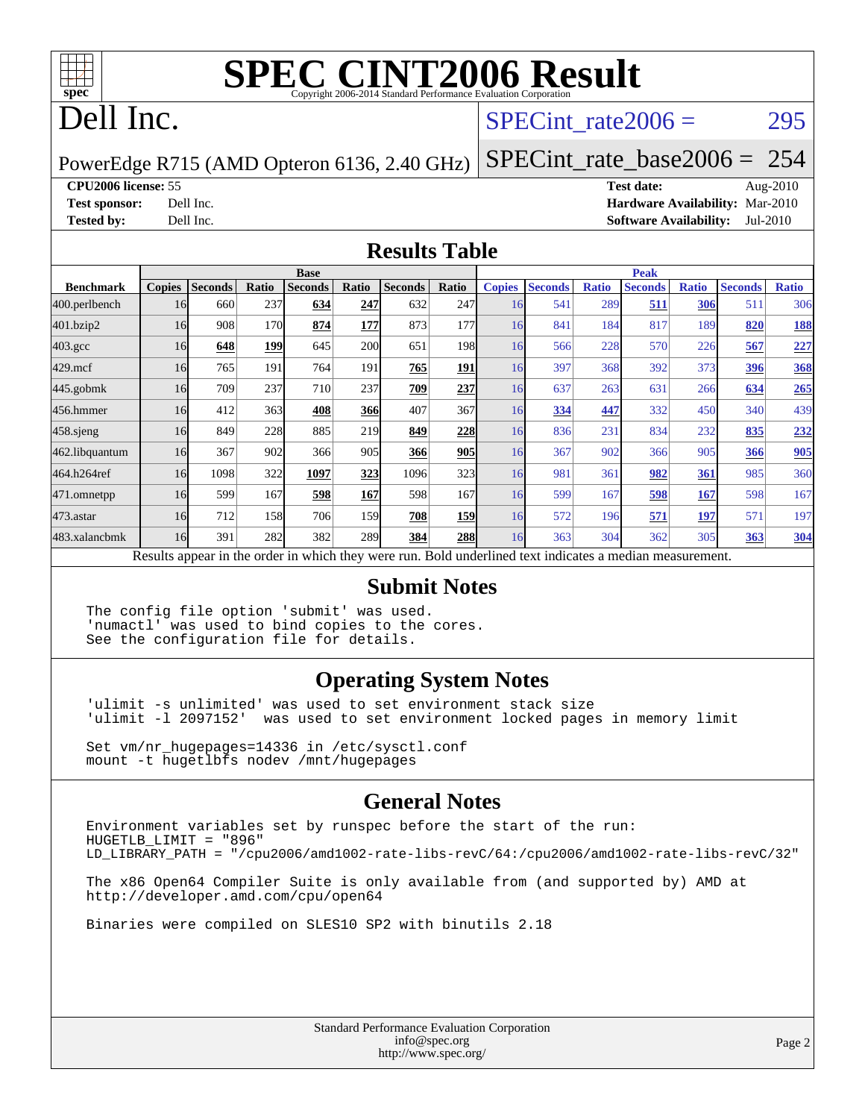

# **[SPEC CINT2006 Result](http://www.spec.org/auto/cpu2006/Docs/result-fields.html#SPECCINT2006Result)**

## Dell Inc.

#### SPECint rate $2006 = 295$

PowerEdge R715 (AMD Opteron 6136, 2.40 GHz)

[SPECint\\_rate\\_base2006 =](http://www.spec.org/auto/cpu2006/Docs/result-fields.html#SPECintratebase2006) 254

#### **[CPU2006 license:](http://www.spec.org/auto/cpu2006/Docs/result-fields.html#CPU2006license)** 55 **[Test date:](http://www.spec.org/auto/cpu2006/Docs/result-fields.html#Testdate)** Aug-2010

**[Test sponsor:](http://www.spec.org/auto/cpu2006/Docs/result-fields.html#Testsponsor)** Dell Inc. **[Hardware Availability:](http://www.spec.org/auto/cpu2006/Docs/result-fields.html#HardwareAvailability)** Mar-2010 **[Tested by:](http://www.spec.org/auto/cpu2006/Docs/result-fields.html#Testedby)** Dell Inc. **[Software Availability:](http://www.spec.org/auto/cpu2006/Docs/result-fields.html#SoftwareAvailability)** Jul-2010

#### **[Results Table](http://www.spec.org/auto/cpu2006/Docs/result-fields.html#ResultsTable)**

|                    | <b>Base</b>   |                |       |                                                                                                          |            |                |            | <b>Peak</b>   |                |              |                |              |                |              |
|--------------------|---------------|----------------|-------|----------------------------------------------------------------------------------------------------------|------------|----------------|------------|---------------|----------------|--------------|----------------|--------------|----------------|--------------|
| <b>Benchmark</b>   | <b>Copies</b> | <b>Seconds</b> | Ratio | <b>Seconds</b>                                                                                           | Ratio      | <b>Seconds</b> | Ratio      | <b>Copies</b> | <b>Seconds</b> | <b>Ratio</b> | <b>Seconds</b> | <b>Ratio</b> | <b>Seconds</b> | <b>Ratio</b> |
| 400.perlbench      | 16            | 660            | 237   | 634                                                                                                      | 247        | 632            | 247I       | 16            | 541            | 289          | 511            | 306          | 511            | 306          |
| 401.bzip2          | 16            | 908            | 170   | 874                                                                                                      | 177        | 873            | 177I       | 16            | 841            | 184          | 817            | 189          | 820            | <u>188</u>   |
| $403.\mathrm{gcc}$ | 16            | 648            | 199   | 645                                                                                                      | <b>200</b> | 651            | 198        | 16            | 566            | 228          | 570            | 226          | 567            | 227          |
| $429$ .mcf         | 16            | 765            | 191   | 764                                                                                                      | 191        | 765            | 191        | 16            | 397            | 368          | 392            | 373          | 396            | <b>368</b>   |
| $445$ .gobmk       | 16            | 709            | 237   | 710                                                                                                      | 237        | <b>709</b>     | 237        | 16            | 637            | 263          | 631            | 266          | 634            | 265          |
| 456.hmmer          | 16            | 412            | 363   | 408                                                                                                      | 366        | 407            | 367        | 16            | 334            | 447          | 332            | 450          | 340            | 439          |
| 458 sjeng          | 16            | 849            | 228   | 885                                                                                                      | 219        | 849            | 228        | 16            | 836            | 231          | 834            | 232          | 835            | <u>232</u>   |
| 462.libquantum     | 16            | 367            | 902   | 366                                                                                                      | 905        | 366            | 905        | 16            | 367            | 902          | 366            | 905          | 366            | 905          |
| 464.h264ref        | 16            | 1098           | 322   | 1097                                                                                                     | 323        | 1096           | 323        | 16            | 981            | 361          | 982            | 361          | 985            | 360          |
| 471.omnetpp        | 16            | 599            | 167   | 598                                                                                                      | 167        | 598            | 167I       | 16            | 599            | 167          | 598            | 167          | 598            | 167          |
| $473.$ astar       | 16            | 712            | 158   | 706                                                                                                      | 159        | 708            | <b>159</b> | 16            | 572            | 196          | 571            | 197          | 571            | 197          |
| 483.xalancbmk      | 16            | 391            | 282   | 382                                                                                                      | 289        | 384            | <b>288</b> | 16            | 363            | 304          | 362            | 305          | 363            | 304          |
|                    |               |                |       | Results appear in the order in which they were run. Bold underlined text indicates a median measurement. |            |                |            |               |                |              |                |              |                |              |

#### **[Submit Notes](http://www.spec.org/auto/cpu2006/Docs/result-fields.html#SubmitNotes)**

The config file option 'submit' was used. 'numactl' was used to bind copies to the cores. See the configuration file for details.

#### **[Operating System Notes](http://www.spec.org/auto/cpu2006/Docs/result-fields.html#OperatingSystemNotes)**

'ulimit -s unlimited' was used to set environment stack size 'ulimit -l 2097152' was used to set environment locked pages in memory limit

Set vm/nr\_hugepages=14336 in /etc/sysctl.conf mount -t hugetlbfs nodev /mnt/hugepages

#### **[General Notes](http://www.spec.org/auto/cpu2006/Docs/result-fields.html#GeneralNotes)**

Environment variables set by runspec before the start of the run: HUGETLB\_LIMIT = "896" LD\_LIBRARY\_PATH = "/cpu2006/amd1002-rate-libs-revC/64:/cpu2006/amd1002-rate-libs-revC/32"

The x86 Open64 Compiler Suite is only available from (and supported by) AMD at <http://developer.amd.com/cpu/open64>

Binaries were compiled on SLES10 SP2 with binutils 2.18

Standard Performance Evaluation Corporation [info@spec.org](mailto:info@spec.org) <http://www.spec.org/>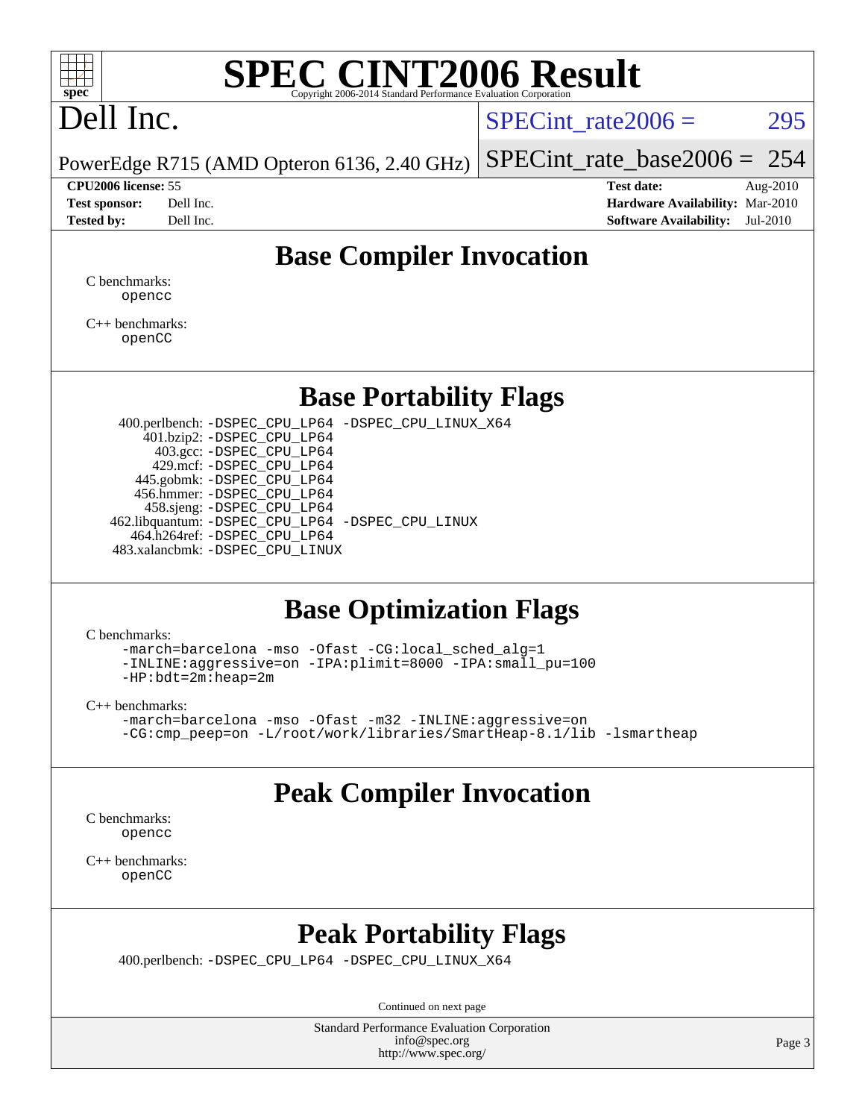

# **[SPEC CINT2006 Result](http://www.spec.org/auto/cpu2006/Docs/result-fields.html#SPECCINT2006Result)**

# Dell Inc.

SPECint rate $2006 = 295$ 

PowerEdge R715 (AMD Opteron 6136, 2.40 GHz) [SPECint\\_rate\\_base2006 =](http://www.spec.org/auto/cpu2006/Docs/result-fields.html#SPECintratebase2006) 254

**[CPU2006 license:](http://www.spec.org/auto/cpu2006/Docs/result-fields.html#CPU2006license)** 55 **[Test date:](http://www.spec.org/auto/cpu2006/Docs/result-fields.html#Testdate)** Aug-2010 **[Test sponsor:](http://www.spec.org/auto/cpu2006/Docs/result-fields.html#Testsponsor)** Dell Inc. **[Hardware Availability:](http://www.spec.org/auto/cpu2006/Docs/result-fields.html#HardwareAvailability)** Mar-2010 **[Tested by:](http://www.spec.org/auto/cpu2006/Docs/result-fields.html#Testedby)** Dell Inc. **[Software Availability:](http://www.spec.org/auto/cpu2006/Docs/result-fields.html#SoftwareAvailability)** Jul-2010

## **[Base Compiler Invocation](http://www.spec.org/auto/cpu2006/Docs/result-fields.html#BaseCompilerInvocation)**

[C benchmarks](http://www.spec.org/auto/cpu2006/Docs/result-fields.html#Cbenchmarks): [opencc](http://www.spec.org/cpu2006/results/res2010q3/cpu2006-20100914-13289.flags.html#user_CCbase_Fopencc)

[C++ benchmarks:](http://www.spec.org/auto/cpu2006/Docs/result-fields.html#CXXbenchmarks) [openCC](http://www.spec.org/cpu2006/results/res2010q3/cpu2006-20100914-13289.flags.html#user_CXXbase_FopenCC)

#### **[Base Portability Flags](http://www.spec.org/auto/cpu2006/Docs/result-fields.html#BasePortabilityFlags)**

 400.perlbench: [-DSPEC\\_CPU\\_LP64](http://www.spec.org/cpu2006/results/res2010q3/cpu2006-20100914-13289.flags.html#b400.perlbench_basePORTABILITY_DSPEC_CPU_LP64) [-DSPEC\\_CPU\\_LINUX\\_X64](http://www.spec.org/cpu2006/results/res2010q3/cpu2006-20100914-13289.flags.html#b400.perlbench_baseCPORTABILITY_DSPEC_CPU_LINUX_X64) 401.bzip2: [-DSPEC\\_CPU\\_LP64](http://www.spec.org/cpu2006/results/res2010q3/cpu2006-20100914-13289.flags.html#suite_basePORTABILITY401_bzip2_DSPEC_CPU_LP64) 403.gcc: [-DSPEC\\_CPU\\_LP64](http://www.spec.org/cpu2006/results/res2010q3/cpu2006-20100914-13289.flags.html#suite_basePORTABILITY403_gcc_DSPEC_CPU_LP64) 429.mcf: [-DSPEC\\_CPU\\_LP64](http://www.spec.org/cpu2006/results/res2010q3/cpu2006-20100914-13289.flags.html#suite_basePORTABILITY429_mcf_DSPEC_CPU_LP64) 445.gobmk: [-DSPEC\\_CPU\\_LP64](http://www.spec.org/cpu2006/results/res2010q3/cpu2006-20100914-13289.flags.html#suite_basePORTABILITY445_gobmk_DSPEC_CPU_LP64) 456.hmmer: [-DSPEC\\_CPU\\_LP64](http://www.spec.org/cpu2006/results/res2010q3/cpu2006-20100914-13289.flags.html#suite_basePORTABILITY456_hmmer_DSPEC_CPU_LP64) 458.sjeng: [-DSPEC\\_CPU\\_LP64](http://www.spec.org/cpu2006/results/res2010q3/cpu2006-20100914-13289.flags.html#suite_basePORTABILITY458_sjeng_DSPEC_CPU_LP64) 462.libquantum: [-DSPEC\\_CPU\\_LP64](http://www.spec.org/cpu2006/results/res2010q3/cpu2006-20100914-13289.flags.html#suite_basePORTABILITY462_libquantum_DSPEC_CPU_LP64) [-DSPEC\\_CPU\\_LINUX](http://www.spec.org/cpu2006/results/res2010q3/cpu2006-20100914-13289.flags.html#b462.libquantum_baseCPORTABILITY_DSPEC_CPU_LINUX) 464.h264ref: [-DSPEC\\_CPU\\_LP64](http://www.spec.org/cpu2006/results/res2010q3/cpu2006-20100914-13289.flags.html#suite_basePORTABILITY464_h264ref_DSPEC_CPU_LP64) 483.xalancbmk: [-DSPEC\\_CPU\\_LINUX](http://www.spec.org/cpu2006/results/res2010q3/cpu2006-20100914-13289.flags.html#b483.xalancbmk_baseCXXPORTABILITY_DSPEC_CPU_LINUX)

#### **[Base Optimization Flags](http://www.spec.org/auto/cpu2006/Docs/result-fields.html#BaseOptimizationFlags)**

[C benchmarks](http://www.spec.org/auto/cpu2006/Docs/result-fields.html#Cbenchmarks):

[-march=barcelona](http://www.spec.org/cpu2006/results/res2010q3/cpu2006-20100914-13289.flags.html#user_CCbase_F-march_8ea39521cada96f307a04d0b8b9c6ffb) [-mso](http://www.spec.org/cpu2006/results/res2010q3/cpu2006-20100914-13289.flags.html#user_CCbase_F-mso) [-Ofast](http://www.spec.org/cpu2006/results/res2010q3/cpu2006-20100914-13289.flags.html#user_CCbase_F-Ofast) [-CG:local\\_sched\\_alg=1](http://www.spec.org/cpu2006/results/res2010q3/cpu2006-20100914-13289.flags.html#user_CCbase_F-CG:local_sched_alg_2175ca61f1a2717f1ec57b14995b9e7a) [-INLINE:aggressive=on](http://www.spec.org/cpu2006/results/res2010q3/cpu2006-20100914-13289.flags.html#user_CCbase_F-INLINE:aggressive_e14807c0a1e56a6a83cb25ab07c7ae8a) [-IPA:plimit=8000](http://www.spec.org/cpu2006/results/res2010q3/cpu2006-20100914-13289.flags.html#user_CCbase_F-IPA:plimit_92cba83f3d47f09c7d5368fda93ddbd7) [-IPA:small\\_pu=100](http://www.spec.org/cpu2006/results/res2010q3/cpu2006-20100914-13289.flags.html#user_CCbase_F-IPA:small_pu_900a09767c6929d55c26ea3d32399996) [-HP:bdt=2m:heap=2m](http://www.spec.org/cpu2006/results/res2010q3/cpu2006-20100914-13289.flags.html#user_CCbase_F-HUGEPAGE_855e97383b49831f390a2af16fe7202f)

[C++ benchmarks:](http://www.spec.org/auto/cpu2006/Docs/result-fields.html#CXXbenchmarks)

```
-march=barcelona -mso -Ofast -m32 -INLINE:aggressive=on
-CG:cmp_peep=on -L/root/work/libraries/SmartHeap-8.1/lib -lsmartheap
```
## **[Peak Compiler Invocation](http://www.spec.org/auto/cpu2006/Docs/result-fields.html#PeakCompilerInvocation)**

[C benchmarks](http://www.spec.org/auto/cpu2006/Docs/result-fields.html#Cbenchmarks): [opencc](http://www.spec.org/cpu2006/results/res2010q3/cpu2006-20100914-13289.flags.html#user_CCpeak_Fopencc)

[C++ benchmarks:](http://www.spec.org/auto/cpu2006/Docs/result-fields.html#CXXbenchmarks) [openCC](http://www.spec.org/cpu2006/results/res2010q3/cpu2006-20100914-13289.flags.html#user_CXXpeak_FopenCC)

#### **[Peak Portability Flags](http://www.spec.org/auto/cpu2006/Docs/result-fields.html#PeakPortabilityFlags)**

400.perlbench: [-DSPEC\\_CPU\\_LP64](http://www.spec.org/cpu2006/results/res2010q3/cpu2006-20100914-13289.flags.html#b400.perlbench_peakPORTABILITY_DSPEC_CPU_LP64) [-DSPEC\\_CPU\\_LINUX\\_X64](http://www.spec.org/cpu2006/results/res2010q3/cpu2006-20100914-13289.flags.html#b400.perlbench_peakCPORTABILITY_DSPEC_CPU_LINUX_X64)

Continued on next page

Standard Performance Evaluation Corporation [info@spec.org](mailto:info@spec.org) <http://www.spec.org/>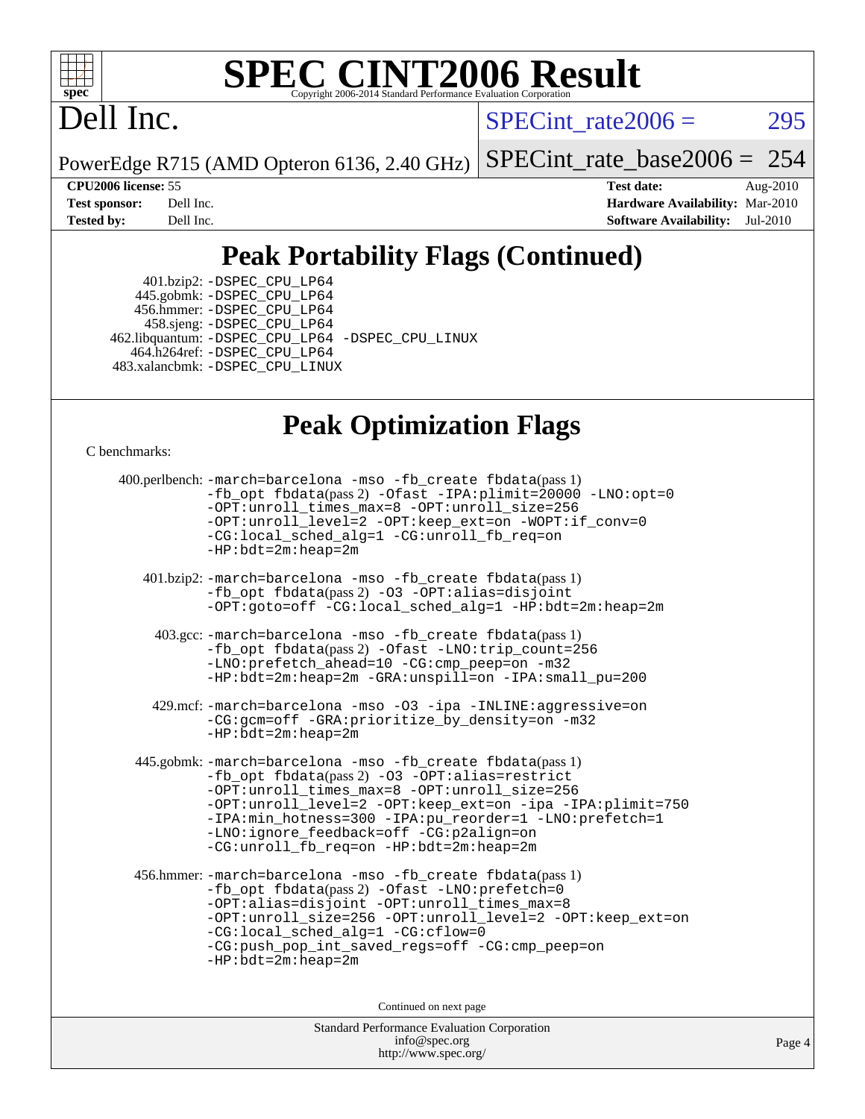

# **[SPEC CINT2006 Result](http://www.spec.org/auto/cpu2006/Docs/result-fields.html#SPECCINT2006Result)**

# Dell Inc.

 $SPECTnt_rate2006 = 295$ 

PowerEdge R715 (AMD Opteron 6136, 2.40 GHz)

[SPECint\\_rate\\_base2006 =](http://www.spec.org/auto/cpu2006/Docs/result-fields.html#SPECintratebase2006) 254

**[CPU2006 license:](http://www.spec.org/auto/cpu2006/Docs/result-fields.html#CPU2006license)** 55 **[Test date:](http://www.spec.org/auto/cpu2006/Docs/result-fields.html#Testdate)** Aug-2010 **[Test sponsor:](http://www.spec.org/auto/cpu2006/Docs/result-fields.html#Testsponsor)** Dell Inc. **[Hardware Availability:](http://www.spec.org/auto/cpu2006/Docs/result-fields.html#HardwareAvailability)** Mar-2010 **[Tested by:](http://www.spec.org/auto/cpu2006/Docs/result-fields.html#Testedby)** Dell Inc. **[Software Availability:](http://www.spec.org/auto/cpu2006/Docs/result-fields.html#SoftwareAvailability)** Jul-2010

## **[Peak Portability Flags \(Continued\)](http://www.spec.org/auto/cpu2006/Docs/result-fields.html#PeakPortabilityFlags)**

 401.bzip2: [-DSPEC\\_CPU\\_LP64](http://www.spec.org/cpu2006/results/res2010q3/cpu2006-20100914-13289.flags.html#suite_peakPORTABILITY401_bzip2_DSPEC_CPU_LP64) 445.gobmk: [-DSPEC\\_CPU\\_LP64](http://www.spec.org/cpu2006/results/res2010q3/cpu2006-20100914-13289.flags.html#suite_peakPORTABILITY445_gobmk_DSPEC_CPU_LP64) 456.hmmer: [-DSPEC\\_CPU\\_LP64](http://www.spec.org/cpu2006/results/res2010q3/cpu2006-20100914-13289.flags.html#suite_peakPORTABILITY456_hmmer_DSPEC_CPU_LP64) 458.sjeng: [-DSPEC\\_CPU\\_LP64](http://www.spec.org/cpu2006/results/res2010q3/cpu2006-20100914-13289.flags.html#suite_peakPORTABILITY458_sjeng_DSPEC_CPU_LP64) 462.libquantum: [-DSPEC\\_CPU\\_LP64](http://www.spec.org/cpu2006/results/res2010q3/cpu2006-20100914-13289.flags.html#suite_peakPORTABILITY462_libquantum_DSPEC_CPU_LP64) [-DSPEC\\_CPU\\_LINUX](http://www.spec.org/cpu2006/results/res2010q3/cpu2006-20100914-13289.flags.html#b462.libquantum_peakCPORTABILITY_DSPEC_CPU_LINUX) 464.h264ref: [-DSPEC\\_CPU\\_LP64](http://www.spec.org/cpu2006/results/res2010q3/cpu2006-20100914-13289.flags.html#suite_peakPORTABILITY464_h264ref_DSPEC_CPU_LP64) 483.xalancbmk: [-DSPEC\\_CPU\\_LINUX](http://www.spec.org/cpu2006/results/res2010q3/cpu2006-20100914-13289.flags.html#b483.xalancbmk_peakCXXPORTABILITY_DSPEC_CPU_LINUX)

## **[Peak Optimization Flags](http://www.spec.org/auto/cpu2006/Docs/result-fields.html#PeakOptimizationFlags)**

[C benchmarks](http://www.spec.org/auto/cpu2006/Docs/result-fields.html#Cbenchmarks):

```
 400.perlbench: -march=barcelona -mso -fb_create fbdata(pass 1)
           -fb_opt fbdata(pass 2) -Ofast -IPA:plimit=20000 -LNO:opt=0
           -OPT:unroll_times_max=8 -OPT:unroll_size=256
           -OPT:unroll_level=2 -OPT:keep_ext=on -WOPT:if_conv=0
           -CG:local_sched_alg=1 -CG:unroll_fb_req=on
           -HP:bdt=2m:heap=2m
    401.bzip2: -march=barcelona -mso -fb_create fbdata(pass 1)
           -fb_opt fbdata(pass 2) -O3 -OPT:alias=disjoint
           -OPT:goto=off -CG:local_sched_alg=1 -HP:bdt=2m:heap=2m
     403.gcc: -march=barcelona -mso -fb_create fbdata(pass 1)
           -fb_opt fbdata(pass 2) -Ofast -LNO:trip_count=256
           -LNO:prefetch_ahead=10 -CG:cmp_peep=on -m32
           -HP:bdt=2m:heap=2m -GRA:unspill=on -IPA:small_pu=200
     429.mcf: -march=barcelona -mso -O3 -ipa -INLINE:aggressive=on
           -CG:gcm=off -GRA:prioritize_by_density=on -m32
          -HP:bdt=2m:heap=2m
  445.gobmk: -march=barcelona -mso -fb_create fbdata(pass 1)
           -fb_opt fbdata(pass 2) -O3 -OPT:alias=restrict
           -OPT:unroll_times_max=8 -OPT:unroll_size=256
           -OPT:unroll_level=2 -OPT:keep_ext=on -ipa -IPA:plimit=750
           -IPA:min_hotness=300-IPA:pu_reorder=1-LNO:prefetch=1
           -LNO:ignore_feedback=off -CG:p2align=on
           -CG:unroll_fb_req=on -HP:bdt=2m:heap=2m
  456.hmmer: -march=barcelona -mso -fb_create fbdata(pass 1)
           -fb_opt fbdata(pass 2) -Ofast -LNO:prefetch=0
           -OPT:alias=disjoint -OPT:unroll_times_max=8
           -OPT:unroll_size=256 -OPT:unroll_level=2 -OPT:keep_ext=on
           -CG:local_sched_alg=1 -CG:cflow=0
           -CG:push_pop_int_saved_regs=off -CG:cmp_peep=on
           -HP:bdt=2m:heap=2m
                                Continued on next page
```